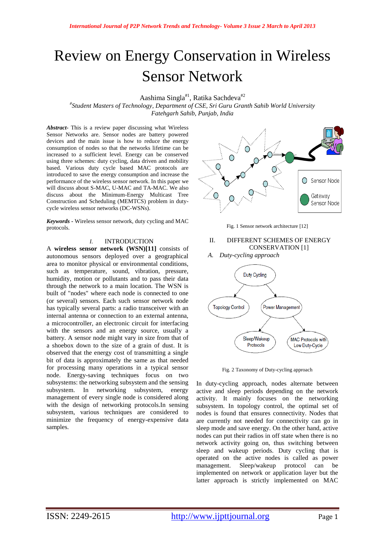# Review on Energy Conservation in Wireless Sensor Network

Aashima Singla<sup>#1</sup>, Ratika Sachdeva<sup>#2</sup>

*# Student Masters of Technology, Department of CSE, Sri Guru Granth Sahib World University Fatehgarh Sahib, Punjab, India*

*Abstract-* This is a review paper discussing what Wireless Sensor Networks are. Sensor nodes are battery powered devices and the main issue is how to reduce the energy consumption of nodes so that the networks lifetime can be increased to a sufficient level. Energy can be conserved using three schemes: duty cycling, data driven and mobility based. Various duty cycle based MAC protocols are introduced to save the energy consumption and increase the performance of the wireless sensor network. In this paper we will discuss about S-MAC, U-MAC and TA-MAC. We also discuss about the Minimum-Energy Multicast Tree Construction and Scheduling (MEMTCS) problem in dutycycle wireless sensor networks (DC-WSNs).

*Keywords -* Wireless sensor network, duty cycling and MAC protocols.

#### *I.* INTRODUCTION

A **wireless sensor network (WSN)[11]** consists of autonomous sensors deployed over a geographical area to monitor physical or environmental conditions, such as temperature, sound, vibration, pressure, humidity, motion or pollutants and to pass their data through the network to a main location. The WSN is built of "nodes" where each node is connected to one (or several) sensors. Each such sensor network node has typically several parts: a radio transceiver with an internal antenna or connection to an external antenna, a microcontroller, an electronic circuit for interfacing with the sensors and an energy source, usually a battery. A sensor node might vary in size from that of a shoebox down to the size of a grain of dust. It is observed that the energy cost of transmitting a single bit of data is approximately the same as that needed for processing many operations in a typical sensor node. Energy-saving techniques focus on two subsystems: the networking subsystem and the sensing subsystem. In networking subsystem, energy management of every single node is considered along with the design of networking protocols.In sensing subsystem, various techniques are considered to minimize the frequency of energy-expensive data samples.



Fig. 1 Sensor network architecture [12]

II. DIFFERENT SCHEMES OF ENERGY CONSERVATION [1]

*A. Duty-cycling approach*



Fig. 2 Taxonomy of Duty-cycling approach

In duty-cycling approach, nodes alternate between active and sleep periods depending on the network activity. It mainly focuses on the networking subsystem. In topology control, the optimal set of nodes is found that ensures connectivity. Nodes that are currently not needed for connectivity can go in sleep mode and save energy. On the other hand, active nodes can put their radios in off state when there is no network activity going on, thus switching between sleep and wakeup periods. Duty cycling that is operated on the active nodes is called as power management. Sleep/wakeup protocol can be implemented on network or application layer but the latter approach is strictly implemented on MAC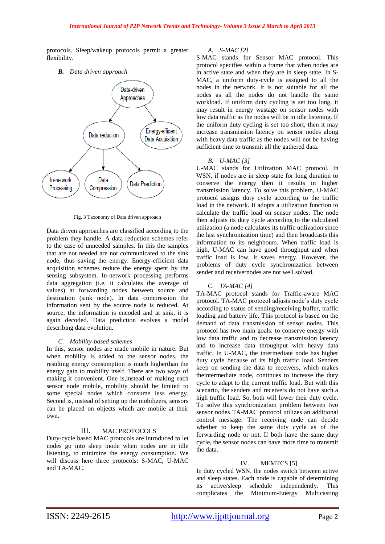protocols. Sleep/wakeup protocols permit a greater flexibility.

## *B. Data driven approach*



Fig. 3 Taxonomy of Data driven approach

Data driven approaches are classified according to the problem they handle. A data reduction schemes refer to the case of unneeded samples. In this the samples that are not needed are not communicated to the sink node, thus saving the energy. Energy-efficient data acquisition schemes reduce the energy spent by the sensing subsystem. In-network processing performs data aggregation (i.e. it calculates the average of values) at forwarding nodes between source and destination (sink node). In data compression the information sent by the source node is reduced. At source, the information is encoded and at sink, it is again decoded. Data prediction evolves a model describing data evolution.

#### *C. Mobility-based schemes*

In this, sensor nodes are made mobile in nature. But when mobility is added to the sensor nodes, the resulting energy consumption is much higherthan the energy gain to mobility itself. There are two ways of making it convenient. One is,instead of making each sensor node mobile, mobility should be limited to some special nodes which consume less energy. Second is, instead of setting up the mobilizers, sensors can be placed on objects which are mobile at their own.

# III. MAC PROTOCOLS

Duty-cycle based MAC protocols are introduced to let nodes go into sleep mode when nodes are in idle listening, to minimize the energy consumption. We will discuss here three protocols: S-MAC, U-MAC and TA-MAC.

# *A. S-MAC [2]*

S-MAC stands for Sensor MAC protocol. This protocol specifies within a frame that when nodes are in active state and when they are in sleep state. In S-MAC, a uniform duty-cycle is assigned to all the nodes in the network. It is not suitable for all the nodes as all the nodes do not handle the same workload. If uniform duty cycling is set too long, it may result in energy wastage on sensor nodes with low data traffic as the nodes will be in idle listening. If the uniform duty cycling is set too short, then it may increase transmission latency on sensor nodes along with heavy data traffic as the nodes will not be having sufficient time to transmit all the gathered data.

#### *B. U-MAC [3]*

U-MAC stands for Utilization MAC protocol. In WSN, if nodes are in sleep state for long duration to conserve the energy then it results in higher transmission latency. To solve this problem, U-MAC protocol assigns duty cycle according to the traffic load in the network. It adopts a utilization function to calculate the traffic load on sensor nodes. The node then adjusts its duty cycle according to the calculated utilization (a node calculates its traffic utilization since the last synchronization time) and then broadcasts this information to its neighbours. When traffic load is high, U-MAC can have good throughput and when traffic load is low, it saves energy. However, the problems of duty cycle synchronization between sender and receivernodes are not well solved.

#### C. *TA-MAC [4]*

TA-MAC protocol stands for Traffic-aware MAC protocol. TA-MAC protocol adjusts node"s duty cycle according to status of sending/receiving buffer, traffic loading and battery life. This protocol is based on the demand of data transmission of sensor nodes. This protocol has two main goals: to conserve energy with low data traffic and to decrease transmission latency and to increase data throughput with heavy data traffic. In U-MAC, the intermediate node has higher duty cycle because of its high traffic load. Senders keep on sending the data to receivers, which makes theintermediate node, continues to increase the duty cycle to adapt to the current traffic load. But with this scenario, the senders and receivers do not have such a high traffic load. So, both will lower their duty cycle. To solve this synchronization problem between two sensor nodes TA-MAC protocol utilizes an additional control message. The receiving node can decide whether to keep the same duty cycle as of the forwarding node or not. If both have the same duty cycle, the sensor nodes can have more time to transmit the data.

# IV. MEMTCS [5]

In duty cycled WSN, the nodes switch between active and sleep states. Each node is capable of determining its active/sleep schedule independently. This complicates the Minimum-Energy Multicasting